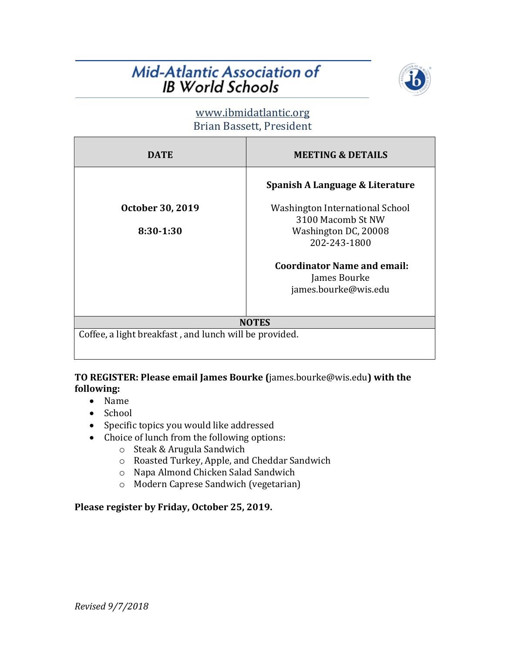# Mid-Atlantic Association of **IB World Schools**



# www.ibmidatlantic.org Brian Bassett, President

| <b>DATE</b>                                            | <b>MEETING &amp; DETAILS</b>       |
|--------------------------------------------------------|------------------------------------|
|                                                        | Spanish A Language & Literature    |
| October 30, 2019                                       | Washington International School    |
|                                                        | 3100 Macomb St NW                  |
| 8:30-1:30                                              | Washington DC, 20008               |
|                                                        | 202-243-1800                       |
|                                                        | <b>Coordinator Name and email:</b> |
|                                                        | James Bourke                       |
|                                                        | james.bourke@wis.edu               |
|                                                        |                                    |
| <b>NOTES</b>                                           |                                    |
| Coffee, a light breakfast, and lunch will be provided. |                                    |

## **TO REGISTER: Please email James Bourke (**james.bourke@wis.edu) with the **following:**

- Name
- School
- Specific topics you would like addressed
- Choice of lunch from the following options:
	- $\circ$  Steak & Arugula Sandwich
	- o Roasted Turkey, Apple, and Cheddar Sandwich
	- o Napa Almond Chicken Salad Sandwich
	- o Modern Caprese Sandwich (vegetarian)

# Please register by Friday, October 25, 2019.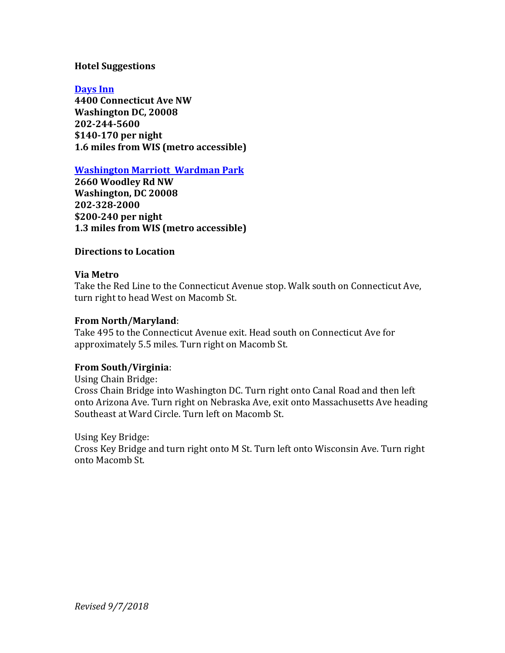### **Hotel Suggestions**

**Days Inn 4400 Connecticut Ave NW Washington DC, 20008 202-244-5600 \$140-170 per night 1.6 miles from WIS (metro accessible)**

**Washington Marriott Wardman Park** 

**2660 Woodley Rd NW Washington, DC 20008 202-328-2000 \$200-240 per night 1.3 miles from WIS (metro accessible)**

#### **Directions to Location**

#### **Via Metro**

Take the Red Line to the Connecticut Avenue stop. Walk south on Connecticut Ave, turn right to head West on Macomb St.

#### **From North/Maryland**:

Take 495 to the Connecticut Avenue exit. Head south on Connecticut Ave for approximately 5.5 miles. Turn right on Macomb St.

#### **From South/Virginia**:

Using Chain Bridge: Cross Chain Bridge into Washington DC. Turn right onto Canal Road and then left onto Arizona Ave. Turn right on Nebraska Ave, exit onto Massachusetts Ave heading Southeast at Ward Circle. Turn left on Macomb St.

#### Using Key Bridge:

Cross Key Bridge and turn right onto M St. Turn left onto Wisconsin Ave. Turn right onto Macomb St.